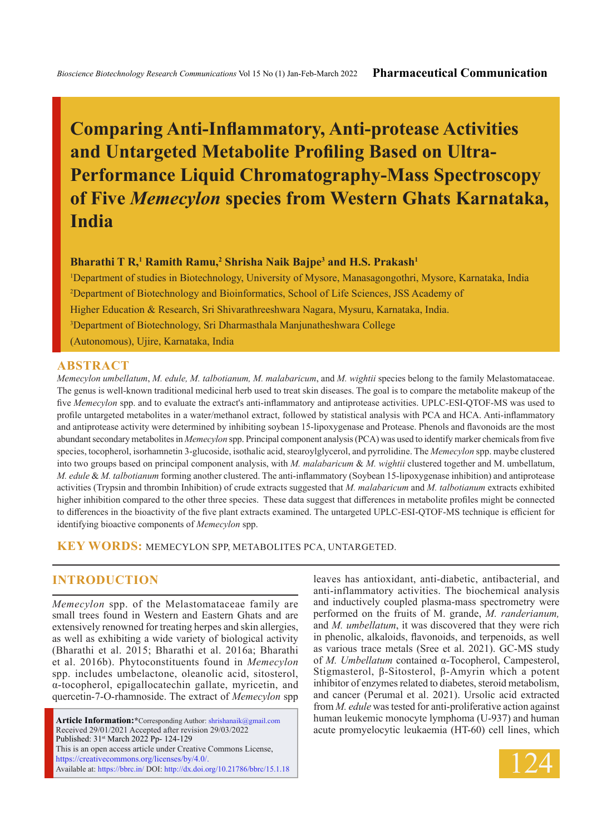# **Comparing Anti-Inflammatory, Anti-protease Activities and Untargeted Metabolite Profiling Based on Ultra-Performance Liquid Chromatography-Mass Spectroscopy of Five** *Memecylon* **species from Western Ghats Karnataka, India**

#### **Bharathi T R,<sup>1</sup> Ramith Ramu,<sup>2</sup> Shrisha Naik Bajpe<sup>3</sup> and H.S. Prakash<sup>1</sup>**

1 Department of studies in Biotechnology, University of Mysore, Manasagongothri, Mysore, Karnataka, India 2 Department of Biotechnology and Bioinformatics, School of Life Sciences, JSS Academy of Higher Education & Research, Sri Shivarathreeshwara Nagara, Mysuru, Karnataka, India. 3 Department of Biotechnology, Sri Dharmasthala Manjunatheshwara College (Autonomous), Ujire, Karnataka, India

### **ABSTRACT**

*Memecylon umbellatum*, *M. edule, M. talbotianum, M. malabaricum*, and *M. wightii* species belong to the family Melastomataceae. The genus is well-known traditional medicinal herb used to treat skin diseases. The goal is to compare the metabolite makeup of the five *Memecylon* spp. and to evaluate the extract's anti-inflammatory and antiprotease activities. UPLC-ESI-QTOF-MS was used to profile untargeted metabolites in a water/methanol extract, followed by statistical analysis with PCA and HCA. Anti-inflammatory and antiprotease activity were determined by inhibiting soybean 15-lipoxygenase and Protease. Phenols and flavonoids are the most abundant secondary metabolites in *Memecylon* spp. Principal component analysis (PCA) was used to identify marker chemicals from five species, tocopherol, isorhamnetin 3-glucoside, isothalic acid, stearoylglycerol, and pyrrolidine. The *Memecylon* spp. maybe clustered into two groups based on principal component analysis, with *M. malabaricum* & *M. wightii* clustered together and M. umbellatum, *M. edule* & *M. talbotianum* forming another clustered. The anti-inflammatory (Soybean 15-lipoxygenase inhibition) and antiprotease activities (Trypsin and thrombin Inhibition) of crude extracts suggested that *M. malabaricum* and *M. talbotianum* extracts exhibited higher inhibition compared to the other three species. These data suggest that differences in metabolite profiles might be connected to differences in the bioactivity of the five plant extracts examined. The untargeted UPLC-ESI-QTOF-MS technique is efficient for identifying bioactive components of *Memecylon* spp.

**KEY WORDS:** Memecylon spp, Metabolites PCA, Untargeted.

# **INTRODUCTION**

*Memecylon* spp. of the Melastomataceae family are small trees found in Western and Eastern Ghats and are extensively renowned for treating herpes and skin allergies, as well as exhibiting a wide variety of biological activity (Bharathi et al. 2015; Bharathi et al. 2016a; Bharathi et al. 2016b). Phytoconstituents found in *Memecylon* spp. includes umbelactone, oleanolic acid, sitosterol, α-tocopherol, epigallocatechin gallate, myricetin, and quercetin-7-O-rhamnoside. The extract of *Memecylon* spp

**Article Information:\***Corresponding Author: shrishanaik@gmail.com Received 29/01/2021 Accepted after revision 29/03/2022 Published: 31st March 2022 Pp- 124-129 This is an open access article under Creative Commons License, https://creativecommons.org/licenses/by/4.0/. Available at: https://bbrc.in/ DOI: http://dx.doi.org/10.21786/bbrc/15.1.18 leaves has antioxidant, anti-diabetic, antibacterial, and anti-inflammatory activities. The biochemical analysis and inductively coupled plasma-mass spectrometry were performed on the fruits of M. grande, *M. randerianum,*  and *M. umbellatum*, it was discovered that they were rich in phenolic, alkaloids, flavonoids, and terpenoids, as well as various trace metals (Sree et al. 2021). GC-MS study of *M. Umbellatum* contained α-Tocopherol, Campesterol, Stigmasterol, β-Sitosterol, β-Amyrin which a potent inhibitor of enzymes related to diabetes, steroid metabolism, and cancer (Perumal et al. 2021). Ursolic acid extracted from *M. edule* was tested for anti-proliferative action against human leukemic monocyte lymphoma (U-937) and human acute promyelocytic leukaemia (HT-60) cell lines, which

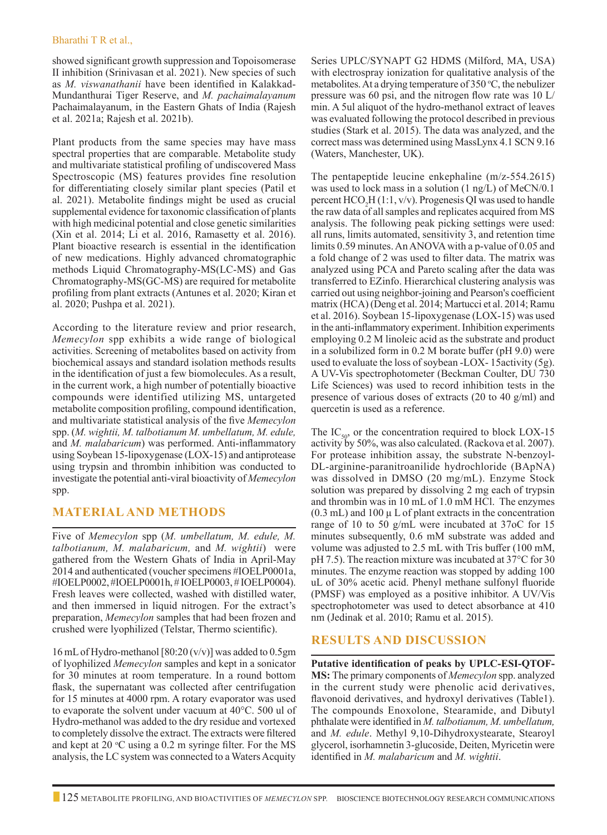#### Bharathi T R et al.,

showed significant growth suppression and Topoisomerase II inhibition (Srinivasan et al. 2021). New species of such as *M. viswanathanii* have been identified in Kalakkad-Mundanthurai Tiger Reserve, and *M. pachaimalayanum*  Pachaimalayanum, in the Eastern Ghats of India (Rajesh et al. 2021a; Rajesh et al. 2021b).

Plant products from the same species may have mass spectral properties that are comparable. Metabolite study and multivariate statistical profiling of undiscovered Mass Spectroscopic (MS) features provides fine resolution for differentiating closely similar plant species (Patil et al. 2021). Metabolite findings might be used as crucial supplemental evidence for taxonomic classification of plants with high medicinal potential and close genetic similarities (Xin et al. 2014; Li et al. 2016, Ramasetty et al. 2016). Plant bioactive research is essential in the identification of new medications. Highly advanced chromatographic methods Liquid Chromatography-MS(LC-MS) and Gas Chromatography-MS(GC-MS) are required for metabolite profiling from plant extracts (Antunes et al. 2020; Kiran et al. 2020; Pushpa et al. 2021).

According to the literature review and prior research, *Memecylon* spp exhibits a wide range of biological activities. Screening of metabolites based on activity from biochemical assays and standard isolation methods results in the identification of just a few biomolecules. As a result, in the current work, a high number of potentially bioactive compounds were identified utilizing MS, untargeted metabolite composition profiling, compound identification, and multivariate statistical analysis of the five *Memecylon*  spp. (*M. wightii, M. talbotianum M. umbellatum, M. edule,* and *M. malabaricum*) was performed. Anti-inflammatory using Soybean 15-lipoxygenase (LOX-15) and antiprotease using trypsin and thrombin inhibition was conducted to investigate the potential anti-viral bioactivity of *Memecylon*  spp.

### **MATERIAL AND METHODS**

Five of *Memecylon* spp (*M. umbellatum, M. edule, M. talbotianum, M. malabaricum,* and *M. wightii*) were gathered from the Western Ghats of India in April-May 2014 and authenticated (voucher specimens #IOELP0001a, #IOELP0002, #IOELP0001h, # IOELP0003, # IOELP0004). Fresh leaves were collected, washed with distilled water, and then immersed in liquid nitrogen. For the extract's preparation, *Memecylon* samples that had been frozen and crushed were lyophilized (Telstar, Thermo scientific).

16 mL of Hydro-methanol [80:20 (v/v)] was added to 0.5gm of lyophilized *Memecylon* samples and kept in a sonicator for 30 minutes at room temperature. In a round bottom flask, the supernatant was collected after centrifugation for 15 minutes at 4000 rpm. A rotary evaporator was used to evaporate the solvent under vacuum at 40°C. 500 ul of Hydro-methanol was added to the dry residue and vortexed to completely dissolve the extract. The extracts were filtered and kept at 20  $\rm{°C}$  using a 0.2 m syringe filter. For the MS analysis, the LC system was connected to a Waters Acquity

Series UPLC/SYNAPT G2 HDMS (Milford, MA, USA) with electrospray ionization for qualitative analysis of the metabolites. At a drying temperature of  $350$  °C, the nebulizer pressure was 60 psi, and the nitrogen flow rate was 10 L/ min. A 5ul aliquot of the hydro-methanol extract of leaves was evaluated following the protocol described in previous studies (Stark et al. 2015). The data was analyzed, and the correct mass was determined using MassLynx 4.1 SCN 9.16 (Waters, Manchester, UK).

The pentapeptide leucine enkephaline (m/z-554.2615) was used to lock mass in a solution (1 ng/L) of MeCN/0.1 percent  $HCO<sub>2</sub>H(1:1, v/v)$ . Progenesis QI was used to handle the raw data of all samples and replicates acquired from MS analysis. The following peak picking settings were used: all runs, limits automated, sensitivity 3, and retention time limits 0.59 minutes. An ANOVA with a p-value of 0.05 and a fold change of 2 was used to filter data. The matrix was analyzed using PCA and Pareto scaling after the data was transferred to EZinfo. Hierarchical clustering analysis was carried out using neighbor-joining and Pearson's coefficient matrix (HCA) (Deng et al. 2014; Martucci et al. 2014; Ramu et al. 2016). Soybean 15-lipoxygenase (LOX-15) was used in the anti-inflammatory experiment. Inhibition experiments employing 0.2 M linoleic acid as the substrate and product in a solubilized form in 0.2 M borate buffer (pH 9.0) were used to evaluate the loss of soybean -LOX- 15activity (5g). A UV-Vis spectrophotometer (Beckman Coulter, DU 730 Life Sciences) was used to record inhibition tests in the presence of various doses of extracts (20 to 40 g/ml) and quercetin is used as a reference.

The  $IC_{50}$ , or the concentration required to block LOX-15 activity by 50%, was also calculated. (Rackova et al. 2007). For protease inhibition assay, the substrate N-benzoyl-DL-arginine-paranitroanilide hydrochloride (BApNA) was dissolved in DMSO (20 mg/mL). Enzyme Stock solution was prepared by dissolving 2 mg each of trypsin and thrombin was in 10 mL of 1.0 mM HCl. The enzymes  $(0.3 \text{ mL})$  and  $100 \mu$  L of plant extracts in the concentration range of 10 to 50 g/mL were incubated at 37oC for 15 minutes subsequently, 0.6 mM substrate was added and volume was adjusted to 2.5 mL with Tris buffer (100 mM, pH 7.5). The reaction mixture was incubated at 37°C for 30 minutes. The enzyme reaction was stopped by adding 100 uL of 30% acetic acid. Phenyl methane sulfonyl fluoride (PMSF) was employed as a positive inhibitor. A UV/Vis spectrophotometer was used to detect absorbance at 410 nm (Jedinak et al. 2010; Ramu et al. 2015).

## **RESULTS AND DISCUSSION**

**Putative identification of peaks by UPLC-ESI-QTOF-MS:** The primary components of *Memecylon* spp. analyzed in the current study were phenolic acid derivatives, flavonoid derivatives, and hydroxyl derivatives (Table1). The compounds Enoxolone, Stearamide, and Dibutyl phthalate were identified in *M. talbotianum, M. umbellatum,*  and *M. edule*. Methyl 9,10-Dihydroxystearate, Stearoyl glycerol, isorhamnetin 3-glucoside, Deiten, Myricetin were identified in *M. malabaricum* and *M. wightii*.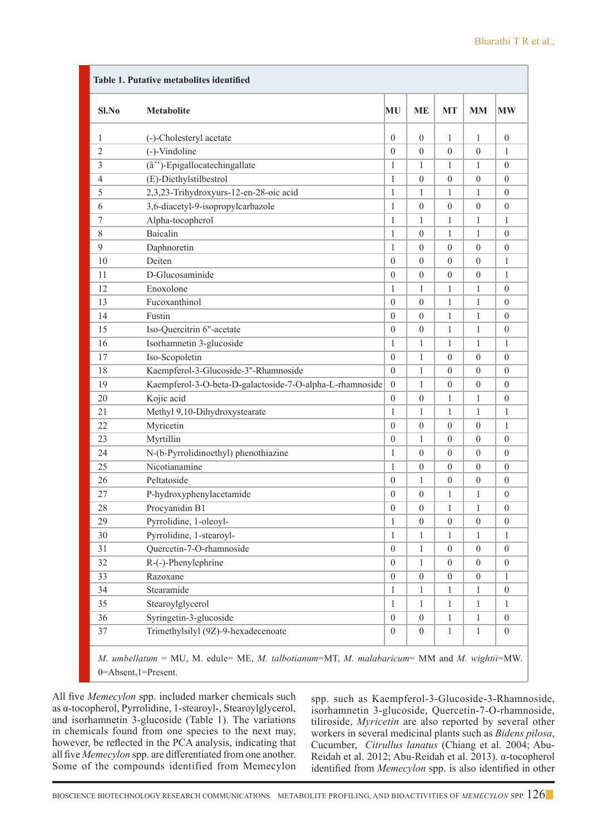| Sl.No          | <b>Metabolite</b>                                        | MU               | ME               | <b>MT</b>        | MM               | <b>MW</b>        |
|----------------|----------------------------------------------------------|------------------|------------------|------------------|------------------|------------------|
| 1              | (-)-Cholesteryl acetate                                  | $\overline{0}$   | $\theta$         | $\mathbf{1}$     | $\mathbf{1}$     | $\theta$         |
| $\overline{2}$ | (-)-Vindoline                                            | 0                | $\theta$         | $\theta$         | $\overline{0}$   | 1                |
| 3              | (â^')-Epigallocatechingallate                            | $\mathbf{1}$     | $\mathbf{1}$     | $\mathbf{1}$     | 1                | $\theta$         |
| $\overline{4}$ | (E)-Diethylstilbestrol                                   | $\mathbf{1}$     | $\mathbf{0}$     | $\theta$         | $\overline{0}$   | $\theta$         |
| 5              | 2,3,23-Trihydroxyurs-12-en-28-oic acid                   | $\mathbf{1}$     | $\mathbf{1}$     | 1                | $\mathbf{1}$     | $\theta$         |
| 6              | 3,6-diacetyl-9-isopropylcarbazole                        | $\mathbf{1}$     | $\theta$         | $\theta$         | $\overline{0}$   | $\theta$         |
| 7              | Alpha-tocopherol                                         | 1                | $\mathbf{1}$     | $\mathbf{1}$     | 1                | $\mathbf{1}$     |
| 8              | Baicalin                                                 | 1                | $\theta$         | $\mathbf{1}$     | 1                | $\theta$         |
| 9              | Daphnoretin                                              | 1                | $\theta$         | $\overline{0}$   | $\overline{0}$   | $\theta$         |
| 10             | Deiten                                                   | $\overline{0}$   | $\theta$         | $\overline{0}$   | $\overline{0}$   | $\mathbf{1}$     |
| 11             | D-Glucosaminide                                          | $\overline{0}$   | $\overline{0}$   | $\overline{0}$   | $\overline{0}$   | $\mathbf{1}$     |
| 12             | Enoxolone                                                | 1                | $\mathbf{1}$     | 1                | $\mathbf{1}$     | $\theta$         |
| 13             | Fucoxanthinol                                            | $\Omega$         | $\mathbf{0}$     | 1                | 1                | $\theta$         |
| 14             | Fustin                                                   | 0                | $\theta$         | 1                | 1                | $\theta$         |
| 15             | Iso-Quercitrin 6"-acetate                                | $\Omega$         | $\overline{0}$   | 1                | $\mathbf{1}$     | $\theta$         |
| 16             | Isorhamnetin 3-glucoside                                 | $\mathbf{1}$     | $\mathbf{1}$     | $\mathbf{1}$     | 1                | $\mathbf{1}$     |
| 17             | Iso-Scopoletin                                           | $\overline{0}$   | $\mathbf{1}$     | $\theta$         | $\overline{0}$   | $\theta$         |
| 18             | Kaempferol-3-Glucoside-3"-Rhamnoside                     | $\Omega$         | 1                | $\Omega$         | $\overline{0}$   | $\theta$         |
| 19             | Kaempferol-3-O-beta-D-galactoside-7-O-alpha-L-rhamnoside | $\overline{0}$   | $\mathbf{1}$     | $\theta$         | $\overline{0}$   | $\theta$         |
| 20             | Kojic acid                                               | $\overline{0}$   | $\theta$         | $\mathbf{1}$     | 1                | $\theta$         |
| 21             | Methyl 9,10-Dihydroxystearate                            | 1                | $\mathbf{1}$     | 1                | $\mathbf{1}$     | $\mathbf{1}$     |
| 22             | Myricetin                                                | $\overline{0}$   | $\theta$         | $\overline{0}$   | $\overline{0}$   | $\mathbf{1}$     |
| 23             | Myrtillin                                                | $\overline{0}$   | $\mathbf{1}$     | $\theta$         | $\overline{0}$   | $\mathbf{0}$     |
| 24             | N-(b-Pyrrolidinoethyl) phenothiazine                     | 1                | $\theta$         | $\Omega$         | $\theta$         | $\theta$         |
| 25             | Nicotianamine                                            | 1                | $\theta$         | $\Omega$         | $\overline{0}$   | $\theta$         |
| 26             | Peltatoside                                              | 0                | 1                | $\theta$         | 0                | $\theta$         |
| 27             | P-hydroxyphenylacetamide                                 | $\Omega$         | $\theta$         | 1                | 1                | $\theta$         |
| 28             | Procyanidin B1                                           | $\overline{0}$   | $\overline{0}$   | 1                | 1                | $\mathbf{0}$     |
| 29             | Pyrrolidine, 1-oleoyl-                                   | 1                | $\theta$         | $\theta$         | 0                | $\theta$         |
| 30             | Pyrrolidine, 1-stearoyl-                                 | 1                | 1                | $\mathbf{1}$     | 1                | $\mathbf{1}$     |
| 31             | Quercetin-7-O-rhamnoside                                 | $\boldsymbol{0}$ | 1                | $\overline{0}$   | $\boldsymbol{0}$ | $\boldsymbol{0}$ |
| 32             | R-(-)-Phenylephrine                                      | $\boldsymbol{0}$ | 1                | $\boldsymbol{0}$ | $\boldsymbol{0}$ | $\boldsymbol{0}$ |
| 33             | Razoxane                                                 | $\overline{0}$   | $\boldsymbol{0}$ | $\boldsymbol{0}$ | $\overline{0}$   | 1                |
| 34             | Stearamide                                               | $\mathbf{1}$     | 1                | 1                | 1                | $\boldsymbol{0}$ |
| 35             | Stearoylglycerol                                         | $\mathbf{1}$     | $\mathbf{1}$     | $\mathbf{1}$     | $\mathbf{1}$     | $\mathbf{1}$     |
| 36             | Syringetin-3-glucoside                                   | $\mathbf{0}$     | $\boldsymbol{0}$ | $\mathbf{1}$     | $\mathbf{1}$     | $\mathbf{0}$     |
| 37             | Trimethylsilyl (9Z)-9-hexadecenoate                      | $\overline{0}$   | $\overline{0}$   | $\mathbf{1}$     | $\mathbf{1}$     | $\overline{0}$   |

All five *Memecylon* spp. included marker chemicals such as α-tocopherol, Pyrrolidine, 1-stearoyl-, Stearoylglycerol, and isorhamnetin 3-glucoside (Table 1). The variations in chemicals found from one species to the next may, however, be reflected in the PCA analysis, indicating that all five *Memecylon* spp. are differentiated from one another. Some of the compounds identified from Memecylon

spp. such as Kaempferol-3-Glucoside-3-Rhamnoside, isorhamnetin 3-glucoside, Quercetin-7-O-rhamnoside, tiliroside, *Myricetin* are also reported by several other workers in several medicinal plants such as *Bidens pilosa*, Cucumber, *Citrullus lanatus* (Chiang et al. 2004; Abu-Reidah et al. 2012; Abu-Reidah et al. 2013). α-tocopherol identified from *Memecylon* spp. is also identified in other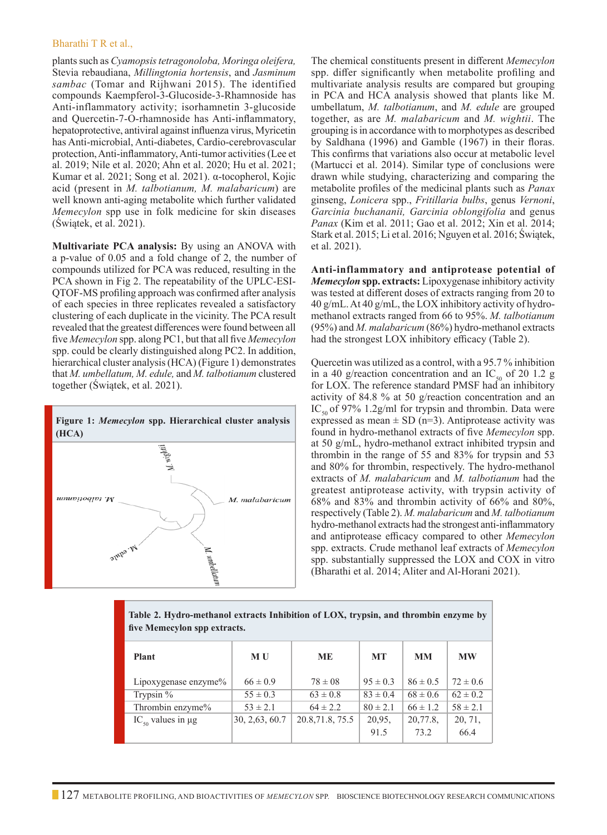#### Bharathi T R et al.,

plants such as *Cyamopsis tetragonoloba, Moringa oleifera,*  Stevia rebaudiana, *Millingtonia hortensis*, and *Jasminum sambac* (Tomar and Rijhwani 2015). The identified compounds Kaempferol-3-Glucoside-3-Rhamnoside has Anti-inflammatory activity; isorhamnetin 3-glucoside and Quercetin-7-O-rhamnoside has Anti-inflammatory, hepatoprotective, antiviral against influenza virus, Myricetin has Anti-microbial, Anti-diabetes, Cardio-cerebrovascular protection, Anti-inflammatory, Anti-tumor activities (Lee et al. 2019; Nile et al. 2020; Ahn et al. 2020; Hu et al. 2021; Kumar et al. 2021; Song et al. 2021). α-tocopherol, Kojic acid (present in *M. talbotianum, M. malabaricum*) are well known anti-aging metabolite which further validated *Memecylon* spp use in folk medicine for skin diseases (Świątek, et al. 2021).

**Multivariate PCA analysis:** By using an ANOVA with a p-value of 0.05 and a fold change of 2, the number of compounds utilized for PCA was reduced, resulting in the PCA shown in Fig 2. The repeatability of the UPLC-ESI-QTOF-MS profiling approach was confirmed after analysis of each species in three replicates revealed a satisfactory clustering of each duplicate in the vicinity. The PCA result revealed that the greatest differences were found between all five *Memecylon* spp. along PC1, but that all five *Memecylon* spp. could be clearly distinguished along PC2. In addition, hierarchical cluster analysis (HCA) (Figure 1) demonstrates that *M. umbellatum, M. edule,* and *M. talbotianum* clustered together (Świątek, et al. 2021).



The chemical constituents present in different *Memecylon* spp. differ significantly when metabolite profiling and multivariate analysis results are compared but grouping in PCA and HCA analysis showed that plants like M. umbellatum, *M. talbotianum*, and *M. edule* are grouped together, as are *M. malabaricum* and *M. wightii*. The grouping is in accordance with to morphotypes as described by Saldhana (1996) and Gamble (1967) in their floras. This confirms that variations also occur at metabolic level (Martucci et al. 2014). Similar type of conclusions were drawn while studying, characterizing and comparing the metabolite profiles of the medicinal plants such as *Panax* ginseng, *Lonicera* spp., *Fritillaria bulbs*, genus *Vernoni*, *Garcinia buchananii, Garcinia oblongifolia* and genus *Panax* (Kim et al. 2011; Gao et al. 2012; Xin et al. 2014; Stark et al. 2015; Li et al. 2016; Nguyen et al. 2016; Świątek, et al. 2021).

**Anti-inflammatory and antiprotease potential of**  *Memecylon* **spp. extracts:** Lipoxygenase inhibitory activity was tested at different doses of extracts ranging from 20 to 40 g/mL. At 40 g/mL, the LOX inhibitory activity of hydromethanol extracts ranged from 66 to 95%. *M. talbotianum* (95%) and *M. malabaricum* (86%) hydro-methanol extracts had the strongest LOX inhibitory efficacy (Table 2).

Quercetin was utilized as a control, with a 95.7 % inhibition in a 40 g/reaction concentration and an  $IC_{50}$  of 20 1.2 g for LOX. The reference standard PMSF had an inhibitory activity of 84.8 % at 50 g/reaction concentration and an IC<sub>50</sub> of 97% 1.2g/ml for trypsin and thrombin. Data were expressed as mean  $\pm$  SD (n=3). Antiprotease activity was found in hydro-methanol extracts of five *Memecylon* spp. at 50 g/mL, hydro-methanol extract inhibited trypsin and thrombin in the range of 55 and 83% for trypsin and 53 and 80% for thrombin, respectively. The hydro-methanol extracts of *M. malabaricum* and *M. talbotianum* had the greatest antiprotease activity, with trypsin activity of 68% and 83% and thrombin activity of 66% and 80%, respectively (Table 2). *M. malabaricum* and *M. talbotianum*  hydro-methanol extracts had the strongest anti-inflammatory and antiprotease efficacy compared to other *Memecylon*  spp. extracts. Crude methanol leaf extracts of *Memecylon*  spp. substantially suppressed the LOX and COX in vitro (Bharathi et al. 2014; Aliter and Al-Horani 2021).

| five Memecylon spp extracts.       |                 |                  |              |              |              |  |  |  |  |  |  |
|------------------------------------|-----------------|------------------|--------------|--------------|--------------|--|--|--|--|--|--|
| <b>Plant</b>                       | <b>MU</b>       | <b>ME</b>        | <b>MT</b>    | <b>MM</b>    | <b>MW</b>    |  |  |  |  |  |  |
| Lipoxygenase enzyme%               | $66 \pm 0.9$    | $78 \pm 08$      | $95 \pm 0.3$ | $86 \pm 0.5$ | $72 \pm 0.6$ |  |  |  |  |  |  |
| Trypsin $%$                        | $55 \pm 0.3$    | $63 \pm 0.8$     | $83 \pm 0.4$ | $68 \pm 0.6$ | $62 \pm 0.2$ |  |  |  |  |  |  |
| Thrombin enzyme%                   | $53 \pm 2.1$    | $64 \pm 2.2$     | $80 \pm 2.1$ | $66 \pm 1.2$ | $58 \pm 2.1$ |  |  |  |  |  |  |
| IC <sub>50</sub> values in $\mu$ g | 30, 2, 63, 60.7 | 20.8, 71.8, 75.5 | 20,95,       | 20,77.8,     | 20, 71,      |  |  |  |  |  |  |
|                                    |                 |                  | 91.5         | 73.2         | 66.4         |  |  |  |  |  |  |

**Table 2. Hydro-methanol extracts Inhibition of LOX, trypsin, and thrombin enzyme by**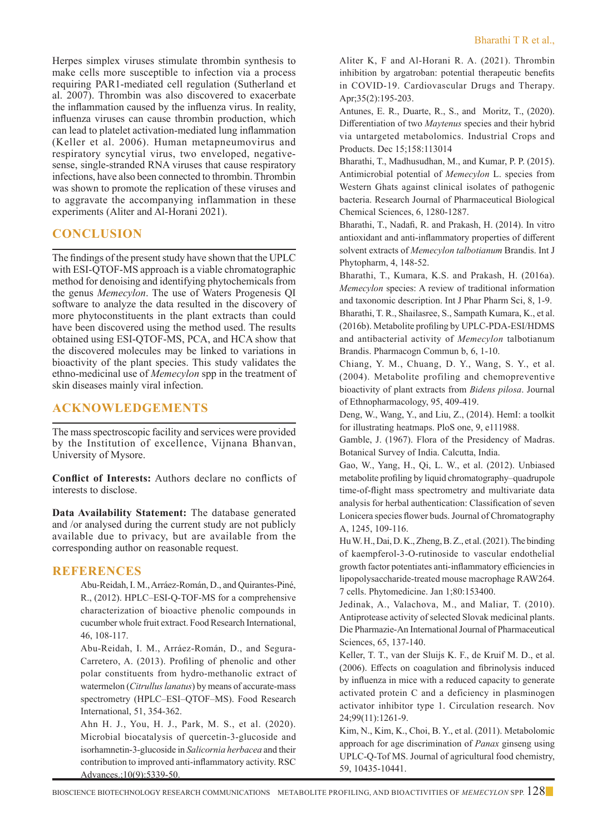Herpes simplex viruses stimulate thrombin synthesis to make cells more susceptible to infection via a process requiring PAR1-mediated cell regulation (Sutherland et al. 2007). Thrombin was also discovered to exacerbate the inflammation caused by the influenza virus. In reality, influenza viruses can cause thrombin production, which can lead to platelet activation-mediated lung inflammation (Keller et al. 2006). Human metapneumovirus and respiratory syncytial virus, two enveloped, negativesense, single-stranded RNA viruses that cause respiratory infections, have also been connected to thrombin. Thrombin was shown to promote the replication of these viruses and to aggravate the accompanying inflammation in these experiments (Aliter and Al-Horani 2021).

# **CONCLUSION**

The findings of the present study have shown that the UPLC with ESI-QTOF-MS approach is a viable chromatographic method for denoising and identifying phytochemicals from the genus *Memecylon*. The use of Waters Progenesis QI software to analyze the data resulted in the discovery of more phytoconstituents in the plant extracts than could have been discovered using the method used. The results obtained using ESI-QTOF-MS, PCA, and HCA show that the discovered molecules may be linked to variations in bioactivity of the plant species. This study validates the ethno-medicinal use of *Memecylon* spp in the treatment of skin diseases mainly viral infection.

# **ACKNOWLEDGEMENTS**

The mass spectroscopic facility and services were provided by the Institution of excellence, Vijnana Bhanvan, University of Mysore.

**Conflict of Interests:** Authors declare no conflicts of interests to disclose.

**Data Availability Statement:** The database generated and /or analysed during the current study are not publicly available due to privacy, but are available from the corresponding author on reasonable request.

## **REFERENCES**

Abu-Reidah, I. M., Arráez-Román, D., and Quirantes-Piné, R., (2012). HPLC–ESI-Q-TOF-MS for a comprehensive characterization of bioactive phenolic compounds in cucumber whole fruit extract. Food Research International, 46, 108-117.

Abu-Reidah, I. M., Arráez-Román, D., and Segura-Carretero, A. (2013). Profiling of phenolic and other polar constituents from hydro-methanolic extract of watermelon (*Citrullus lanatus*) by means of accurate-mass spectrometry (HPLC–ESI–QTOF–MS). Food Research International, 51, 354-362.

Ahn H. J., You, H. J., Park, M. S., et al. (2020). Microbial biocatalysis of quercetin-3-glucoside and isorhamnetin-3-glucoside in *Salicornia herbacea* and their contribution to improved anti-inflammatory activity. RSC Advances.;10(9):5339-50.

Aliter K, F and Al-Horani R. A. (2021). Thrombin inhibition by argatroban: potential therapeutic benefits in COVID-19. Cardiovascular Drugs and Therapy. Apr;35(2):195-203.

Antunes, E. R., Duarte, R., S., and Moritz, T., (2020). Differentiation of two *Maytenus* species and their hybrid via untargeted metabolomics. Industrial Crops and Products. Dec 15;158:113014

 Bharathi, T., Madhusudhan, M., and Kumar, P. P. (2015). Antimicrobial potential of *Memecylon* L. species from Western Ghats against clinical isolates of pathogenic bacteria. Research Journal of Pharmaceutical Biological Chemical Sciences, 6, 1280-1287.

 Bharathi, T., Nadafi, R. and Prakash, H. (2014). In vitro antioxidant and anti-inflammatory properties of different solvent extracts of *Memecylon talbotianum* Brandis. Int J Phytopharm, 4, 148-52.

 Bharathi, T., Kumara, K.S. and Prakash, H. (2016a). *Memecylon* species: A review of traditional information and taxonomic description. Int J Phar Pharm Sci, 8, 1-9. Bharathi, T. R., Shailasree, S., Sampath Kumara, K., et al. (2016b). Metabolite profiling by UPLC-PDA-ESI/HDMS and antibacterial activity of *Memecylon* talbotianum Brandis. Pharmacogn Commun b, 6, 1-10.

Chiang, Y. M., Chuang, D. Y., Wang, S. Y., et al. (2004). Metabolite profiling and chemopreventive bioactivity of plant extracts from *Bidens pilosa*. Journal of Ethnopharmacology, 95, 409-419.

 Deng, W., Wang, Y., and Liu, Z., (2014). HemI: a toolkit for illustrating heatmaps. PloS one, 9, e111988.

 Gamble, J. (1967). Flora of the Presidency of Madras. Botanical Survey of India. Calcutta, India.

 Gao, W., Yang, H., Qi, L. W., et al. (2012). Unbiased metabolite profiling by liquid chromatography–quadrupole time-of-flight mass spectrometry and multivariate data analysis for herbal authentication: Classification of seven Lonicera species flower buds. Journal of Chromatography A, 1245, 109-116.

Hu W. H., Dai, D. K., Zheng, B. Z., et al. (2021). The binding of kaempferol-3-O-rutinoside to vascular endothelial growth factor potentiates anti-inflammatory efficiencies in lipopolysaccharide-treated mouse macrophage RAW264. 7 cells. Phytomedicine. Jan 1;80:153400.

Jedinak, A., Valachova, M., and Maliar, T. (2010). Antiprotease activity of selected Slovak medicinal plants. Die Pharmazie-An International Journal of Pharmaceutical Sciences, 65, 137-140.

Keller, T. T., van der Sluijs K. F., de Kruif M. D., et al. (2006). Effects on coagulation and fibrinolysis induced by influenza in mice with a reduced capacity to generate activated protein C and a deficiency in plasminogen activator inhibitor type 1. Circulation research. Nov 24;99(11):1261-9.

Kim, N., Kim, K., Choi, B. Y., et al. (2011). Metabolomic approach for age discrimination of *Panax* ginseng using UPLC-Q-Tof MS. Journal of agricultural food chemistry, 59, 10435-10441.

BIOSCIENCE BIOTECHNOLOGY RESEARCH COMMUNICATIONS Metabolite Profiling, and Bioactivities of *Memecylon* spp. 128